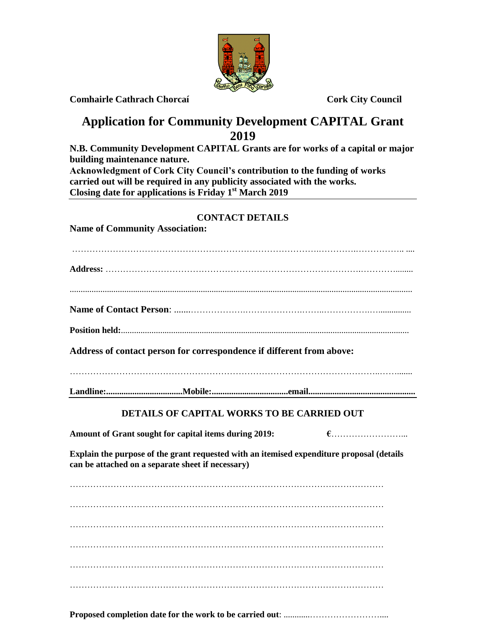

**Comhairle Cathrach Chorcaí Cork City Council**

## **Application for Community Development CAPITAL Grant 2019**

**N.B. Community Development CAPITAL Grants are for works of a capital or major building maintenance nature. Acknowledgment of Cork City Council's contribution to the funding of works carried out will be required in any publicity associated with the works.**

**Closing date for applications is Friday 1 st March 2019**

## **CONTACT DETAILS**

**Name of Community Association:**

| Address of contact person for correspondence if different from above:                                                                          |
|------------------------------------------------------------------------------------------------------------------------------------------------|
|                                                                                                                                                |
| <b>DETAILS OF CAPITAL WORKS TO BE CARRIED OUT</b>                                                                                              |
| Amount of Grant sought for capital items during 2019:                                                                                          |
| Explain the purpose of the grant requested with an itemised expenditure proposal (details<br>can be attached on a separate sheet if necessary) |

……………………………………………………………………………………………… ………………………………………………………………………………………………

……………………………………………………………………………………………… ……………………………………………………………………………………………… ………………………………………………………………………………………………

**Proposed completion date for the work to be carried out**: ............……………………....